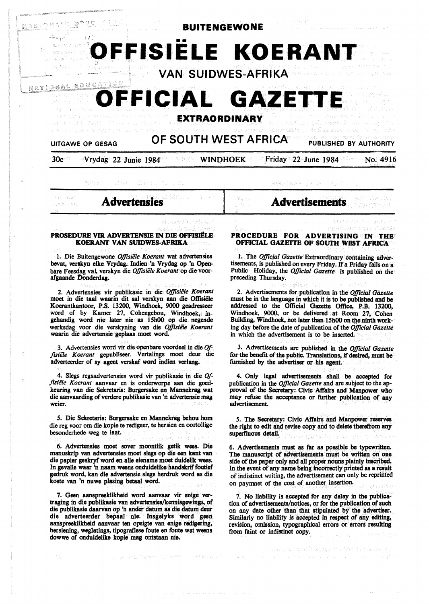

e gies.

 $\langle \cdot \rangle$  .

緊張 まんと ドナスム

# **Advertensies**

westwase.

#### **PROSEDURE V1R. ADVER.TENSIE** IN **DIE OFFISiffLB K.OER.ANI' VAN SUIDWES-AFRIK.A**

1. Die Buitengewone *Offzsiele Koerant* wat advertensies bevat, **verakyn elke Vrydag.** Indien 'n Vrydag op 'n Openbare Feesdag val. verskyn die *Ojftsiele Koerant* op die voorafgaande Donderdag.

2. Advertensies vir publikasie in die *Ojftsiele Koerant*  moet in die taal waarin dit sal verskyn aan die Offisiële Koerantkantoor, **P.S.** 13200, Windhoek, **9000 geadresseer**  word of by Kamer 27, Cohengebou, Windhoek, ingehandig word nie later nie as 15h00 op die negende werksdag voor die verskyning van die *Ojftsiele Koerant*  waarin die advertensie geplaas moet word

3. Advertensies word vir die openbare voordeel in die *Offisiële Koerant* gepubliseer. Vertalings moet deur die adverteerder of sy agent verskaf word indien verlang.

4. Slegs regsadvertensies word vir publikasie in die *Offtsiele Koerant* aanvaar en is onderworpe aan die goedkeuring van die Sekretaris: Burgersake en Mannekrag. wat die aanvaarding of verdere publikasie van 'n advertensie mag weier.

*5.* Die Sekretaris: Burgersake en Mannekrag behou hom die reg voor om die kopie te redigeer, te hersien en oortollige besonderhede weg te laat.

6. Advertensies moet sover moontlik getik wees. Die manuskrip van advertensies moet slegs op die een kant van die papier geskryf word en alle eiename moet duidelik wees. In gevalle waar 'n naam weens onduidelike handskrif foutief gedruk word, kan die advertensie slegs herdruk word as die koste van 'n nuwe plasing betaa1 word.

7. Geen aanspreeklikheid word aanvaar vir enige vertraging in die publikasie van advertensies/kennisgewings, of die publikasie daarvan op 'n ander datum as die datum deur die adverteerder bepaal nie. Insgelyks word geen aanspreeklikheid aanvaar ten opsigte van enige redigering, hersiening, weglatings, tipografiese foute en foute wat weens dowwe of onduidelike kopie mag ontstaan nie.

# **Advertisements**

#### **PROCEDURE FOR ADVERTISING IN THE OFFICIAL GAZETTE OF SOUIH WEST AFRICA**

1. The *Ojftcial Gazette* Extraordinary containing advertisements, is published on every Friday. If a Friday falls on a Public Holiday, the *Ojftcial Gazette* is published on the preceding Thursday.

2. Advertisements for publication in the *Ojjlcial Gazette*  must be in **the language** in which it is to be published **and be**  addressed to the Official Gazette Office, P.B. 13200, Windhoek, 9000, or be delivered at Room 27, Cohen Building, Windhoek, not later than 15h00 on the ninth working day before the date of publication of the *Ojftcial Gazette*  in which the advertisement is to be inserted.

3. Advertisements are published in the *Ojftcial Gazette*  for the benefit of the public. Translations, if desired, must be furnished by the advertiser or his agent.

4. Only legal advertisements shall be accepted for publication in the *Ojftcial Gazette* and are subject to the approval of the Secretary: Civic Affairs and Manpower who may refuse the acceptance or further publication of any advertisement.

*5.* The Secretary: Civic Affairs and Manpower reserves the right to edit and revise copy and to delete therefrom any superfluous detail.

6. Advertisements must as far as possible be typewritten. The manuscript of advertisements must be written on one side of the paper only and all proper nouns plainly inscribed. In the event of any name being incorrectly printed as a result of indistinct writing, the advertisement can only be reprinted on paymnet of the cost of another insertion.

7. No liability is accepted for any delay in the publication of advertisements/notices, or for the publication of such on any date other than that stipulated by the advertiser. Similarly no liability is accepted in respect of any editing, revision, omission, typographical errors or errors resulting from faint or indistinct copy.

g, and markibles aw chwa a casar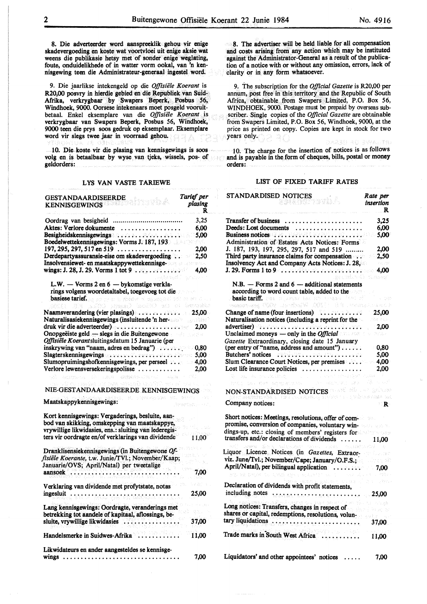8. Die adverteerder word aanspreeklik gehou vir enige skadevergoeding en koste wat voortvloei uit enige aksie wat weens die publikasie hetsy met of sonder enige weglating, foute, onduidelikhede of in watter vorm ookal, van 'n kennisgewing teen die Administrateur-generaal ingestel word.

9. Die jaarlikse intekengeld op die *Offisiele Koerant* is R20,00 posvry in hierdie gebied en die Republiek van Suid-Afrika, verkrygbaar by Swapers Beperk, Posbus *56,*  Windhoek, 9000. Oorsese intekenaars moet posgeld vooruitbetaal. Enkel eksemplare van die *Offisiële Koerant* is verkrygbaar van Swapers Beperk, Posbus *56,* Windhoek, 9000 teen die prys soos gedruk op eksemplaar. Eksemplare word vir slegs twee jaar in voorraad gehou.

10. Die koste vir die plasing van kennisgewings is soos volg en is betaalbaar by wyse van tjeks, wissels, pos- of geldorders:

#### LYS VAN VASTE TARIEWE

| GESTANDAARDISEERDE<br>the wideli<br><b>KENNISGEWINGS</b>                                                                                                   | Tarief per<br>plasing<br>R |
|------------------------------------------------------------------------------------------------------------------------------------------------------------|----------------------------|
|                                                                                                                                                            | 3.25                       |
| Aktes: Verlore dokumente<br>.                                                                                                                              | 6.00                       |
| Besigheidskennisgewings and an annual and all                                                                                                              | 5,00                       |
| Boedelwettekennisgewings: Vorms J. 187, 193                                                                                                                |                            |
| 197, 295, 297, 517 en 519 $\ldots$                                                                                                                         | 2.00                       |
| Derdepartyassuransie-eise om skadevergoeding                                                                                                               | 2,50                       |
| Insolvensiewet- en maatskappywettekennisge-<br>wings: J. 28, J. 29. Vorms 1 tot 9                                                                          | Af Le<br>4,00              |
| L.W. - Vorms 2 en 6 - bykomstige verkla-                                                                                                                   |                            |
| rings volgens woordetaltabel, toegevoeg tot die                                                                                                            |                            |
| basiese tarief, as set on a typischer al og.suppart for the set                                                                                            |                            |
| 10 (20 Office) (example:                                                                                                                                   |                            |
| Naamsverandering (vier plasings)                                                                                                                           | - 25.00                    |
| Naturalisasiekennisgewings (insluitende 'n her-                                                                                                            | use di S                   |
| druk vir die adverteerder)                                                                                                                                 | 2,00                       |
| Onopgeëiste geld — slegs in die Buitengewone<br>Offisiële Koerantsluitingsdatum 15 Januarie (per                                                           |                            |
| inskrywing van "naam, adres en bedrag") and alle                                                                                                           | - 0.80                     |
| Slagterskennisgewings exercises and contain the state 5,00                                                                                                 |                            |
| Slumopruimingshofkennisgewings, per perseel :                                                                                                              | $-4.00$                    |
| Verlore lewensversekeringspolisse                                                                                                                          | 2,00                       |
| adatan sa Chemici<br>olç01<br>$-0.013$                                                                                                                     |                            |
| NIE-GESTANDAARDISEERDE KENNISGEWINGS                                                                                                                       |                            |
| (f) there are now the<br>Maatskappykennisgewings:                                                                                                          |                            |
| Kort kennisgewings: Vergaderings, besluite, aan-<br>bod van skikking, omskepping van maatskappye,<br>vrywillige likwidasies, ens.: sluiting van lederegis- |                            |
| ters vir oordragte en/of verklarings van dividende                                                                                                         | 11,00                      |
| Dranklisensiekennisgewings (in Buitengewone Of-<br>fisiële Koerante, t.w. Junie/TVI.; November/Kaap;                                                       |                            |
| Januarie/OVS; April/Natal) per tweetalige                                                                                                                  |                            |
| aansoek                                                                                                                                                    | 7,00                       |
| Verklaring van dividende met profytstate, notas                                                                                                            |                            |
| ingesluit                                                                                                                                                  | 25,00                      |
| Lang kennisgewings: Oordragte, veranderings met                                                                                                            |                            |
| betrekking tot aandele of kapitaal, aflossings, be-                                                                                                        |                            |
| sluite, vrywillige likwidasies                                                                                                                             | 37,00                      |
| Handelsmerke in Suidwes-Afrika                                                                                                                             | 11.00                      |
| Likwidateurs en ander aangesteldes se kennisge-                                                                                                            |                            |
| wings<br>.                                                                                                                                                 | 7,00                       |

8. The advertiser will be held liable for all compensation and costs **arising** from any action which may be instituted against the Administrator-General as a result of the publication of a notice with or without any omission, errors, lack of clarity or in any form whatsoever.

9. The subscription for the *Official Gazette* is R20,00 per annum, post free in this territory and the Republic of South Africa, obtainable from Swapers Limited, P.O. Box 56, WINDHOEK, 9000. Postage must be prepaid by overseas subscriber. Single copies of the *Official Gazette* are obtainable from Swapers Limited, P.O. Box 56, Windhoek, 9000, at the price as printed on copy. Copies are kept in stock for two years only.

l 0. The charge for the insertion of notices is as follows and is payable in the form of cheques, bills, postal or money orders:

#### LIST OF FIXED TARIFF RATES

| STANDARDISED NOTICES                                                                                                                                                                                                           | Rate per<br>insertion<br>R |
|--------------------------------------------------------------------------------------------------------------------------------------------------------------------------------------------------------------------------------|----------------------------|
| Transfer of business $\ldots \ldots \ldots \ldots \ldots \ldots$                                                                                                                                                               | 3,25                       |
|                                                                                                                                                                                                                                | 6.00                       |
| Deeds: Lost documents<br>Business notices: (2001) 2020 (2002) 2002 (2002) 2002                                                                                                                                                 | 5.00                       |
| Administration of Estates Acts Notices: Forms                                                                                                                                                                                  |                            |
| J. 187, 193, 197, 295, 297, 517 and 519                                                                                                                                                                                        | 2,00                       |
| Third party insurance claims for compensation                                                                                                                                                                                  | 2,50                       |
| Insolvency Act and Company Acts Notices: J. 28,                                                                                                                                                                                | 175.702                    |
|                                                                                                                                                                                                                                | $-4.00$                    |
| usa miliwali<br>$N.B.$ - Forms 2 and 6 - additional statements<br>according to word count table, added to the<br>a basic tariff. That is permutated at the season from the                                                     | ti. Asest                  |
| An announced M.C. (1991-Wadhaik MM) assumed                                                                                                                                                                                    |                            |
|                                                                                                                                                                                                                                | 25,00                      |
| Naturalisation notices (including a reprint for the                                                                                                                                                                            | នៅមាននេះ                   |
|                                                                                                                                                                                                                                | 2.00                       |
| Unclaimed moneys — only in the Official                                                                                                                                                                                        | 真菌素                        |
| Gazette Extraordinary, closing date 15 January                                                                                                                                                                                 |                            |
| (per entry of "name, address and amount") $\dots$ .                                                                                                                                                                            | - 0.80                     |
| Butchers' notices and the product of the set of the set of the set of the set of the set of the set of the set of the set of the set of the set of the set of the set of the set of the set of the set of the set of the set o | 5.00                       |
| Slum Clearance Court Notices, per premises                                                                                                                                                                                     | 4,00                       |
| Lost life insurance policies $\dots \dots \dots \dots \dots$<br>The server interview to the war                                                                                                                                | 2.00                       |
| an a shekara (1993)<br>1984 - Ben Bondar a She<br>TERRITORICAL MODELLA RESP                                                                                                                                                    |                            |
| NON-STANDARDISED NOTICES AND SERVICE SERVICES                                                                                                                                                                                  |                            |
| HET JOURNALITY SAYS ON A SANDARY HET BEE                                                                                                                                                                                       |                            |
| Company notices:                                                                                                                                                                                                               | ा रिक                      |
| Short notices: Meetings, resolutions, offer of com-                                                                                                                                                                            |                            |
| promise, conversion of companies, voluntary win-                                                                                                                                                                               |                            |
| dings-up, etc.: closing of members' registers for                                                                                                                                                                              |                            |
| transfers and/or declarations of dividends                                                                                                                                                                                     | 11.00                      |
| sucker - Backletts Wall - al-                                                                                                                                                                                                  |                            |
| Liquor Licence Notices (in Gazettes, Extraor-                                                                                                                                                                                  |                            |
| viz. June/Tvl.; November/Cape; January/O.F.S.;                                                                                                                                                                                 |                            |
|                                                                                                                                                                                                                                |                            |
| w as brown to those who consider the                                                                                                                                                                                           | e si                       |
| i<br>1903-cü ildə Qalan (ö.<br>Declaration of dividends with profit statements,                                                                                                                                                |                            |
| including notes<br>-<br>フィイルワート たいしん とうしんかん データ・ディー・ディー                                                                                                                                                                        | 25,00                      |
| iya dewlatak kuma masa da sababan yang m                                                                                                                                                                                       |                            |
| Long notices: Transfers, changes in respect of<br>shares or capital, redemptions, resolutions, volun-                                                                                                                          |                            |
|                                                                                                                                                                                                                                |                            |
|                                                                                                                                                                                                                                | 37,00                      |
| Trade marks in South West Africa<br>. . <i>.</i>                                                                                                                                                                               | 11.00                      |
| Liquidators' and other appointees' notices                                                                                                                                                                                     | 7.00                       |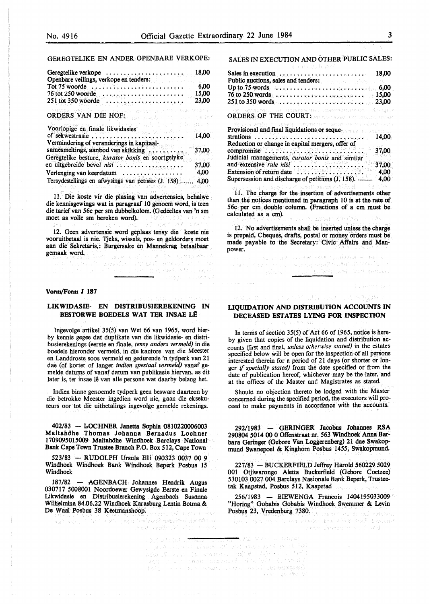## GEREGTELIKE EN ANDER OPENBARE VERKOPE:

| Geregtelike verkope<br>Openbare veilings, verkope en tenders:                    | 18,00                  |
|----------------------------------------------------------------------------------|------------------------|
| Tot 75 woorde                                                                    | 6,00                   |
| 76 tot 250 woorde<br>,,,,,,,,,,,,,,,,,,,,,<br>251 tot 350 woorde                 | 15.00<br>23,00         |
| Channel head that this model is<br>ORDERS VAN DIE HOF:<br>wast contents and alon |                        |
| Voorlopige en finale likwidasies<br>of sekwestrasie.<br><u>.</u>                 | e Albert II e<br>14,00 |
| Vermindering of veranderings in kapitaal-<br>samesmeltings, aanbod van skikking  | 37,00                  |
| Geregtelike besture, kurator bonis en soortgelyke<br>en uitgebreide bevel nisi   | 37,00                  |
| Verlenging van keerdatum<br>Tersydestellings en afwysings van petisies (J. 158)  | 4.00<br>4,00           |

11. Die koste vir die plasing van advertensies, behalwe die kennisgewings wat in paragraaf 10 genoem word, is teen die tarief van 56c per sm dubbelkolom. (Gedeeltes van 'n sm moet as volle sm bereken word).

12. Geen advertensie word geplaas tensy die koste nie vooruitbetaal is nie. Tjeks, wissels, pos- en geldorders moet aan die Sekretaris,: Burgersake en Mannekrag betaalbaar gemaak word. He was a state of the state of the state of the state of the state of the state of the state of the state of the state of the state of the state of the state of the state of the state of the state of the state

a kasul ing kalendar sa mga karanggalang

h massa (") ann às chomh-bhaile an chomh-bh

#### **Vorm/Form J 187**

#### **LIKWIDASIE- EN DISTRIBUSIEREKENING** IN **BESTORWE BOEDELS WAT TER INSAE LÊ**

Ingevolge artikel 35(5) van Wet 66 van 1965, word bierby kennis gegee dat duplikate van die likwidasie- en distribusierekenings (eerste en finale, *tensy anders vermeld)* in die boedels hieronder vermeld, in die kantore van die Meester en Landdroste soos vermeld en gedurende 'n tydperk van 21 dae {of korter of !anger *indien spesiaal venneld)* vanaf ge- melde datums of vanaf datum van publikasie hiervan, as dit later is, ter insae lê van alle persone wat daarby belang het.

Indien binne genoemde tydperk geen besware daarteen by die betrokke Meester ingedien word nie, gaan die eksekuteurs oor tot die uitbetalings ingevolge gemelde rekenings.

402/83 - LOCHNER Janetta Sophia 0810220006003 Maltahohe Thomas Johanna Bernadus Lochner 1709095015009 Maltahohe Windhoek Barclays National Bank Cape Town Trustee Branch P.O. Box 512, Cape Town

523/83 - RUDOLPH Ursula Elli 090323 0037 00 9 Windhoek Windhoek Bank Windhoek Beperk Posbus 15 Windhoek

187/82 - AGENBACH Johannes Hendrik Augus 030717 5008001 Noordoewer Gewysigde Eerste en Finale Likwidasie en Distribusierekening Agenbach Susanna Wilhelmina 84.06.22 Windhoek Karasburg Lentin Botma & De Waal Posbus 38 Keetmanshoop.

worlder instant Standard (mail 1988)

#### SALES IN EXECUTION AND OTHER. PUBLIC SALES:

| 18.00<br>Sales in execution $\ldots \ldots \ldots \ldots \ldots \ldots$<br>Public auctions, sales and tenders:<br><b>Channel</b>                                                                                                                                                              |
|-----------------------------------------------------------------------------------------------------------------------------------------------------------------------------------------------------------------------------------------------------------------------------------------------|
|                                                                                                                                                                                                                                                                                               |
| 15,00<br>76 to 250 words <b>Acceleration Conservation</b>                                                                                                                                                                                                                                     |
| 23,00                                                                                                                                                                                                                                                                                         |
| <b>ORDERS OF THE COURT:</b> and the country of the country of the country of the country of the country of the country of the country of the country of the country of the country of the country of the country of the country of<br>ové kolivaje sprava svetla ve svetov se se svislovo svo |
| Provisional and final liquidations or seque-                                                                                                                                                                                                                                                  |
| 14.00                                                                                                                                                                                                                                                                                         |
| Reduction or change in capital mergers, offer of                                                                                                                                                                                                                                              |
| 37,00<br>Judicial managements, curator bonis and similar<br>and extensive rule nisi<br>37,00<br>ra e 1999 de server                                                                                                                                                                           |
| hiddeanait thur<br>Extension of return date<br>4.00<br>Supersession and discharge of petitions (J. 158).<br>4.00                                                                                                                                                                              |

11. The charge for the insertion of advertisements other than the notices mentioned in paragraph 10 is at the rate of 56c per cm double column. (Fractions of a cm must be calculated as a cm).

12. No advertisements shall be inserted unless the charge is prepaid, Cheques, drafts, postal or money orders must be made payable to the Secretary: Civic Affairs and Manpower.

Normal and Wrealth Bookland in Rein 

# **LIQUIDATION AND DISTRIBUTION ACCOUNTS IN DECEASED ESTATES LYING FOR INSPECTION**

In terms of section 35(5) of Act 66 of 1965, notice is hereby given that copies of the liquidation and distribution accounts (first and fmal, *unless otherwise stated)* in the estates specified below will be open for the inspection of all persons interested therein for a period of 21 days (or shorter or longer if *specially stated)* from the date specified or from the date of publication hereof, whichever may be the later, and at the offices of the Master and Magistrates as stated.

Should no objection thereto be lodged with the Master concerned during the specified period, the executors will proceed to make payments in accordance with the accounts.

292/1983 - GERINGER Jacobus Johannes RSA 290804 5014 00 0 Offenstraat nr. 563 Windhoek Anna Barbara Geringer (Gebore Van Loggerenberg) 21 dae Swakopmund Swanepoel & Kinghorn Posbus 1455, Swakopmund.

227/83 - BUCKERFIELD Jeffrey Harold 560229 5029 001 Otjiwarongo Aletta Buckerfield {Gebore Coetzee) 530103 0027 004 Barclays Nasionale Bank Beperk, Trustee- tak Kaapstad, Posbus 512, Kaapstad

256/1983 - BIEWENGA Francois 1404195033009 "Horing" Gobabis Gobabis Windhoek Swemmer & Levin Posbus 23, Vredenburg 7380.

was mad the Star Bird Cheroiches Correct Des Vant

FOUR ARTIST STORE ★ そん クネオ ニーかれ(参) soverne movement and an encourage and an<br>1960 - Para Politica Politica and an encourage<br>1960 - Para Palatin Barbaran, and an encourage<br>1960 - Para Palatin Starbaran, and an encourage plan and confidently the spath strength so Post Gentler V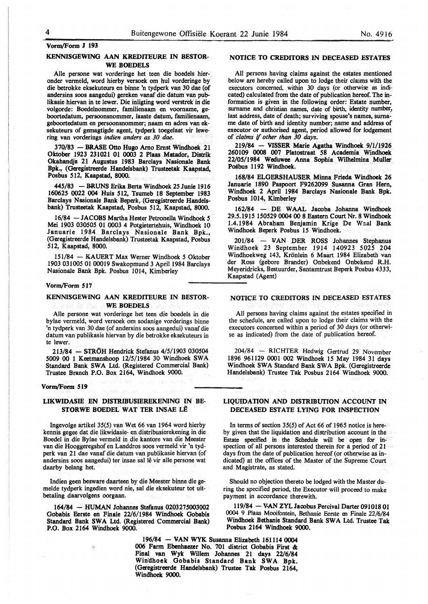# **KENNISGEWING AAN KREDITEURE IN BESTOR-WE BOEDELS**

Aile persone wat vorderinge het teen die boedels hieronder vermeld, word hierby versoek om hul vorderinge by die betrokke eksekuteurs en binne 'n tydperk van 30 dae (of andersins soos aangedui) gereken vanaf die datum van publikasie hiervan in te lewer. Die inligting word verstrek in die volgorde: Boedelnommer, familienaam en voorname, geboortedatum, persoonsnommer, Iaaste datum, familienaam, geboortedatum en persoonsnommer; naam en adres van eksekuteurs of gemagtigde agent, tydperk toegelaat vir lewering van vorderings *indien anders as 30 dae.* 

370/83 - BRASE Otto Hugo Arno Ernst Windhoek 21 Oktober 1923 231021 0l 0003 2 Plaas Matador, Distrik Okahandja 21 Augustus 1983 Barclays Nasionale Bank Bpk., (Oeregistreerde Handelsbank) Trusteetak Kaapstad, Posbus 512, Kaapstad, 8000.

445/83 - BRUNS Erika Berta Windhoek 25 Junie 1916 160625 0022 004 Huis 512, Tsumeb 18 September 1983 Barclays Nasionale Bank Beperk, (Geregistreerde Handelsbank) Trusteetak Kaapstad, Posbus 512, Kaapstad, 8000.

16/84 - JACOBS Martha Hester Petronella Windhoek 5 Mei 1903 030505 01 0003 4 Potgietertehuis, Windhoek 10 Januarie 1984 Barclays Nasionale Bank Bpk., (Geregistreerde Handelsbank) Trusteetak Kaapstad, Posbus 512, Kaapstad, 8000.

151/84 - **KAUERT Max** Werner Windhoek 5 Oktober 1903 031005 01 00019 Swakopmund 3 April 1984 Barclays Nasionale Bank Bpk. Posbus 1014, Kimberley

#### **Vorm/Form 517**

## **KENNISGEWING AAN KREDITEURE IN BESTOR-WE BOEDELS**

Aile persone wat vorderinge het teen die boedels in die bylae vermeld, word versoek om sodanige vorderings binne 'n tydperk van 30 dae (of andersins soos aangedui) vanaf die datum van publikasie hiervan by die betrokke eksekuteurs in te !ewer.

213/84 - STRÖH Hendrick Stefanus 4/5/1903 030504 5009 00 1 Keetmanshoop 12/5/1984 30 Windhoek SW A Standard Bank SWA Ltd. (Registered Commercial Bank) Trustee Branch **P.O.** Box 2164, Windhoek 9000.

#### **Vorm/Form 519**

## **LIKWIDASIE EN DISTRIBUSIEREKENING IN BE-STORWE BOEDEL WAT TER INSAE** LE

lngevolge artikel 35(5) van Wet 66 van 1964 word hierby kennis gegee dat die likwidasie- en distribusierekening in die Boedel in die Bylae vermeld in die kantore van die Meester van die Hooggeregshof en Landdros soos vermeld vir 'n tydperk van 21 dae vanaf die datum van publikasie hiervan (of andersins soos aangedui) ter insae sal lê vir alle persone wat daarby belang het.

Indien geen besware daarteen by die Meester binne die gemelde tydperk ingedien word nie, sal die eksekuteur tot uitbetaling daarvolgens oorgaan.

**164/84** - **HUMAN Johannes Stefanus 0203275003002 Gobabis Eerste en Finale 22/6/1984 Windhoek Gobabis**  Standard Bank SWA Ltd. (Registered Commercial Bank) **P.O. Box 2164 Windhoek 9000.** 

# **NOTICE TO CREDITORS IN DECEASED ESTATES**

All persons having claims against the estates mentioned below are hereby called upon to lodge their claims with the executors concerned, within 30 days (or otherwise as indicated) calculated from the date of publication hereof. The information is given in the following order: Estate number, surname and christian names, date of birth, identity number, last address, date of death; surviving spouse's names, surname date of birth and identity number; name and address of executor or authorised agent, period allowed for lodgement of *claims* if *other than 30 days.* 

219/84 - **VISSER Marie Agatha Windhoek** 9/1/1926 **260109 0008 007 Platostraat 58 Academia Windhoek 22/05/1984 Weduwee Anna Sophia Wilhelmina Muller Posbus 1192 Windhoek.** 

**168/84 ELGERSHAUSER Minna Frieda Windhoek 26 Januarie 1890 Paspoort F9262099 Susanna Gran Hern, Windhoek 2 April 1984 Barclays Nasionale Bank Bpk. Posbus** 1014, **Kimberley** 

**162/84** - **DE WAAL Jacoba Johanna Windhoek 29.5.1915 150529 0004 00 8 Eastern Court Nr. 8 Windhoek 1.4.1984 Abraham** Benjamin **Krige** De Waal **Bank Windhoek Beperk Posbus** 15 **Windhoek.** 

**201/84** - **l/AN DER ROSS** Johannes **Stephanus**  Winclhoek 23 September 1914 140923 **5025** 204 Windhoekweg 143, Krönlein 6 Maart 1984 Elizabeth van der Ross (gebore Brander) Onbekend Onbekend **R.H.**  Meyeridricks, Bestuurder, Santamtrust Beperk Posbus 4333, Kaapstad (Agent)

#### **NOTICE TO CREDITORS IN DECEASED ESTATES**

All persons having claims against the estates specified in the schedule, are called upon to lodge their claims with the executors concerned within a period of 30 days (or otherwise as indicated) from the date of publication hereof.

204/84 - RICHTER Hedwig Gertrud 29 November 1896 961129 0001 002 Windhoek 15 May 1984 31 days Windhoek SWA Standard Bank SWA Bpk. (Geregistreerde Handelsbank) Trustee Tak Posbus 2164 Windhoek 9000.

#### **LIQUIDATION AND DISTRIBUTION ACCOUNT IN DECEASED ESTATE LYING FOR INSPECTION**

In terms of section 35(5) of Act 66 of 1965 notice is hereby given that the liquidation and distribution account in the Estate specified in the Schedule will be open for inspection of all persons interested therein tor a period of 21 days from the date of publication hereof (or otherwise as indicated) at the offices of the Master of the Supreme Court and Magistrate, as stated.

Should no objection thereto be lodged with the Master during the specified period, the Executor will proceed to make payment in accordance therewith.

**119/84** - **V-AN ZYL Jacobus Percival Darter 091018 01**  0004 9 Plaas Mooifontein, Bethanie Eerste en Finale 22/6/84 **Windhoek Bethanie Standard Bank SW A Ltd. Trustee Tak**  Posbus 2164 Windhoek 9000.

196/84 - **V:AN WYK** Susanna Elizabeth 161114 0004 006 Farm Ebenhaezer No. 701 district Gobabis First & Final van Wyk Willem Johannes 21 days 22/6/84 Windhoek Gobabis Standard Bank SWA Bpk. (Geregistreerde Handelsbank) Trustee Tak Posbus 2164, Windhoek 9000.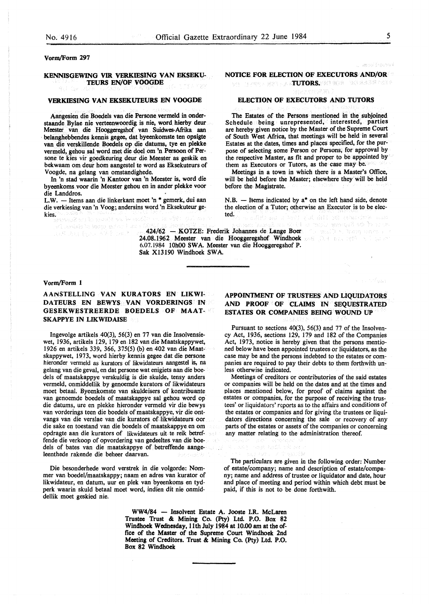Vorm/Form 297

#### **KENNISGEWING VIR VERKIESlNG VAN EKSEKU-TEURS EN/OF VOOGDE**

#### **VERKIESING VAN EKSEKUTEURS EN VOOGDE**

Aangesien die Boedels van die Persone vermeld in onderstaande Bylae nie verteenwoordig is nie, word hierby deur Meester van die Hooggeregshof van Suidwes-Afrika aan belanghebbendes kennis gegee, dat byeenkomste ten opsigte van die verskillende Boedels op die datums, tye en plekke vermeld, gehou sal word met die doel om 'n Persoon of Persone te kies vir goedkeuring deur die Meester as geskik en bekwaam om deur horn aangestel te word as Eksekuteurs of Voogde, na gelang van omstandighede.

In 'n stad waarin 'n Kantoor van 'n Meester is, word die byeenkoms voor die Meester gehou en in ander plekke voor die Landdros.

L.W. - Items aan die linkerkant moet 'n \* gemerk, dui aan die verkiesing van 'n Voog; andersins word 'n Eksekuteur gekies.

เสียวไขวะค

e an include ureat claims, pe, a an Chuidheann an Aibheann an A

i yeşiye (ön şeviyle 4

**NOTICE FOR ELECTION OF EXECUTORS AND/OR** 

VOLUME ARE AN **TUTORS.** REFREST BELEGES AND C

#### **ELECTION OF EXECUTORS AND TUTORS**

The Estates of the Persons mentioned in the subjoined Schedule being unrepresented, interested, parties are hereby given notice by the Master of the Supreme Court of South West Africa, that meetings will be held in several Estates at the dates, times and places specified, for the purpose of selecting some Person or Persons, for approval by the respective Master, as fit and proper to be appointed by them as Executors or Tutors, as the case may be.

**Meetings** in a town in which there is a Master's Office, will be held before the Master; elsewhere they will be held before the Magistrate.

N.B.  $-$  Items indicated by  $a^*$  on the left hand side, denote the election of a Tutor; otherwise an Executor is to be elected.

ישר בר על נלצה למקור שמור לאחרי

n fiyya

424/62 - KOTZE: Frederik Johannes de Lange Boer 24.08.1962 Meester van die Hooggeregshof Windhoek and Data and Data and Data 6.07.1984 10h00 SWA. Meester van die Hooggeregshof P. Sak X13190 Windhoek SWA.

#### **Vorm/Form 1**

**AANSTELLING VAN KURATORS EN LIKWI-DATEURS EN BEWYS VAN VORDERINGS IN GESEKWESTREERDE BOEDELS OF MAAT-SKAPPYE IN LIKWIDAISE** 

lngevolge artikels 40(3), 56(3) en 77 van die Insolvensiewet, 1936, artikels 129, 179 en 182 van die Maatskappywet, 1926 en artikels 339, 366, 375(5) (b) en 402 van die Maatskappywet, 1973, word hierby kennis gegee dat die persone hieronder vermeld as kurators of likwidateurs aangestel is, na gelang van die geval, en dat persone wat enigiets aan die boedels of maatskappye verskuldig is die skulde, tensy anders vermeld, onmiddellik by genoemde kurators of likwidateurs moet betaal. Byeenkomste van skuldeisers of kontribuante van genoemde boedels of maatskappye sal gehou word op die datums, ure en plekke hieronder vermeld vir die bewys van vorderings teen die boedels of maatskappye, vir die ontvangs van die verslae van die kurators of likwidateurs oor die sake en toestand van die boedels of maatskappye en om opdragte aan die kurators of likwidateurs uit te reik betreffende die verkoop of opvordering van gedeeltes van die boedels of bates van die maatskappye of betreffende aangeleenthede rakende die beheer daarvan.

Die besonderhede word verstrek in die volgorde: Nornmer van boedel/maatskappy; naam en adres van kurator of likwidateur, en datum, uur en plek van byeenkoms en tydperk waarin skuld betaal moet word, indien dit nie onmiddellik moet geskied nie.

# **APPOINTMENT OF TRUSTEES AND LIQUIDATORS AND PROOF OF CLAIMS IN SEQUESTRATED ESTATES OR COMPANIES BEING WOUND UP**

Pursuant to sections 40(3), 56(3) and 77 of the Insolvency Act, 1936, sections 129, 179 and 182 of the Companies Act, 1973, notice is hereby given that the persons mentioned below have been appointed trustees or liquidators, as the case may be and the persons indebted to the estates or companies are required to pay their debts to them forthwith unless otherwise indicated.

Meetings of creditors or contributories of the said estates or companies will be held on the dates and at the times and places mentioned below, for proof of claims against the estates or companies, for the purpose of receiving the trustees' or liquidators' reports as to the affairs and conditions of the estates or companies and for giving the trustees or liquidators directions concerning the sale or recovery of any parts of the estates or assets of the companies or concerning any matter relating to the administration thereof.

The particulars are given in the following order: Number of estate/company; name and description of estate/company; name and address of trustee or liquidator and date, hour and place of meeting and period within which debt must be paid, if this is not to be done forthwith.

**WW4/84** - **Insolvent Estate A. Jooste I.R. McLaren Trustee Trust** & **Mining Co. (Pty) Ltd. P.O. Box 82 Windhoek Wednesday,** 11th **July 1984 at 10.00 am at the** of**fice of the Master of the Supreme Court Windhoek 2nd Meeting of Creditors. Trust** & **Mining Co. (Pty)** Ltd. **P.O. Box 82 Windhoek** 

iya l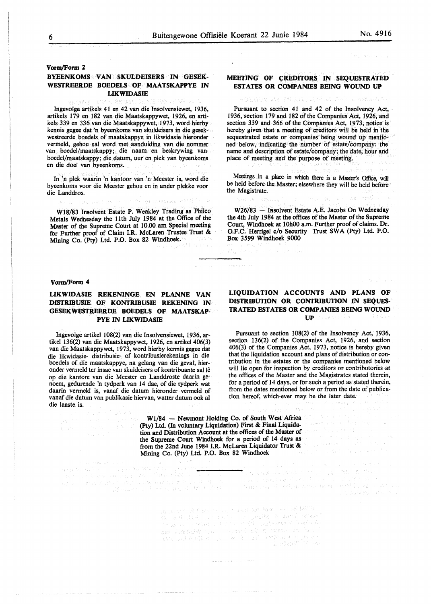## **MEETING OF CREDITORS IN SEQUESTRATED ESTATES OR COMPANIES BEING WOUND UP**

#### 「迷宮」 2個目 ませいし

Pursuant to section 41 and 42 of the Insolvency Act, 1936, section 179 and 182 of the Companies Act, 1926, and section 339 and 366 of the Companies Act, 1973, notice is hereby given that a meeting of creditors will be held in the sequestrated estate or companies being wound up mentioned below, indicating the number of estate/company: the name and description of estate/company; the date; hour and place of meeting and the purpose of meeting.

Meetings in a place in which there is a Master's Office, will be held before the Master; elsewhere they will be held before the Magistrate.

W26/83 - Insolvent Estate A.E. Jacobs On Wednesday the 4th July 1984 at the offices of the Master of the Supreme Court, Windhoek at 10h00 a.m. Further proof of claims. Dr. O.F.C. Herrigel c/o Security Trust SWA (Pty) Ltd. P.O. Box 3599 Windhoek 9000

#### vorm/Form 4

die Landdros.

# **LIKWIDASIE REKENINGE EN PLANNE VAN DISTRIBUSIE OF KONTRIBUSIE REKENING IN GESEKWESTREERDE BOEDELS OF MAATSKAP-PYE IN LIKWIDASIB**

BYEENKOMS VAN SKULDEISERS IN GESEK-WESTREERDE BOEDELS OF MAATSKAPPYE IN **LIKWIDASIB** 

lngevolge artikels 41 en 42 van die Insolvensiewet, 1936, artikels 179 en 182 van die Maatskappywet, 1926, en artikels 339 en 336 van die Maatskappywet, 1973, word hierby kennis gegee dat 'n byeenkoms van skuldeisers in die gesekwestreerde boedels of maatskappye in likwidasie hieronder vermeld, gehou sal word met aanduiding van die nommer van boedel/maatskappy; die naam en beskrywing van boedel/maatskappy; die datum, uur en plek van byeenkoms

A DEST

เมื่อรับ เรียน มีน้ำ โดย

In 'n plek waarin 'n kantoor van 'n Meester is, word die byeenkoms voor die Meester gehou en in ander plekke voor

W18/83 Insolvent Estate P. Weakley Trading as Philco Metals Wednesday the 11th July 1984 at the Office of the Master of the Supreme Court at 10.00 am Special meeting for Further proof of Claim I.R. McLaren Trustee Trust &

Mining Co. (Pty) Ltd. P.O. Box 82 Windhoek.

Ingevolge artikel 108(2) van die Insolvensiewet, 1936, artikel 136(2) van die Maatskappywet, 1926, en artikel 406(3) van die Maatskappywet, 1973, word hierby kennis gegee dat die likwidasie- distribusie- of kontribusierekenings in die boedels of die maatskappye, na gelang van die geval, hieronder vermeld ter insae van skuldeisers of kontribuante sal le op die kantore van die Meester en Landdroste daarin genoem, gedurende 'n tydperk van 14 dae, of die tydperk wat daarin vermeld is, vanaf die datum hieronder vermeld of vanaf die datum van publikasie hiervan, watter datum ook al die laaste is.

> $W1/84$  - Newmont Holding Co. of South West Africa (Pty) Ltd. (In voluntary Liquidation) First & Final Liquidation and Distribution Account at the offices of the Master of the Supreme Court Windhoek for a period of 14 days as from the 22nd June 1984 1.R. McLaren Liquidator Trust & Mining Co. (Pty) Ltd. P.O. Box 82 Windhoek

i sulli sulla conditata generalista.<br>Amprova della contra della caracterista della compete del conditata del conditata del contro del colombia del<br>Librario compete del contra sulla caracterista del contra del contra del co 

**LIQUIDATION ACCOUNTS AND PLANS OF DISTRIBUTION OR CONTRIBUTION IN SEQUES-TRATED ESTATES OR COMPANIES BEING WOUND UP B** *LEASE CONTROL* 

Pursuant to section 108(2) of the Insolvency Act, 1936, section 136(2) of the Companies Act, 1926, and section 406(3) of the Companies Act, 1973, notice is hereby given that the liquidation account and plans of distribution or contribution in the estates or the companies mentioned below will lie open for inspection by creditors or contributories at the offices of the Master and the Magistrates stated therein, for a period of 14 days, or for such a period as stated therein, from the dates mentioned below or from the date of publication hereof, which-ever may be the later date.

e jaar di Sila

Bandarak dan berasar tersebut dalam tersebut.<br>Sebagai sebelah pada bandar dan bandar pengerahan

ה היה המודע למדינים במשפט למדינים של המודע במודע להיה מייחדים.<br>ממודע בכל המשפט ביני

acamatik Ali statut op Savat von kami – v v v varij<br>Skoperi Stato ar savat - polaziv - v versij senari<br>Poodrva en kalifora Soni en jelij - polazivanji Apaplania 

**Vorm/Form 2** 

en die doel van byeenkoms.